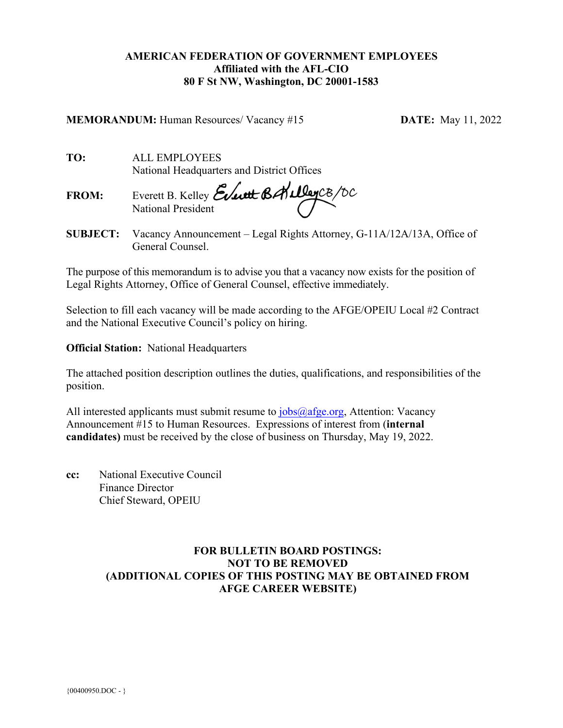# **AMERICAN FEDERATION OF GOVERNMENT EMPLOYEES Affiliated with the AFL-CIO 80 F St NW, Washington, DC 20001-1583**

**MEMORANDUM:** Human Resources/ Vacancy #15 **DATE:** May 11, 2022

**TO:** ALL EMPLOYEES National Headquarters and District Offices

**FROM:** Everett B. Kelley National President

**SUBJECT:** Vacancy Announcement – Legal Rights Attorney, G-11A/12A/13A, Office of General Counsel.

The purpose of this memorandum is to advise you that a vacancy now exists for the position of Legal Rights Attorney, Office of General Counsel, effective immediately.

Selection to fill each vacancy will be made according to the AFGE/OPEIU Local #2 Contract and the National Executive Council's policy on hiring.

**Official Station:** National Headquarters

The attached position description outlines the duties, qualifications, and responsibilities of the position.

All interested applicants must submit resume to [jobs@afge.org,](mailto:jobs@afge.org) Attention: Vacancy Announcement #15 to Human Resources. Expressions of interest from (**internal candidates)** must be received by the close of business on Thursday, May 19, 2022.

**cc:** National Executive Council Finance Director Chief Steward, OPEIU

# **FOR BULLETIN BOARD POSTINGS: NOT TO BE REMOVED (ADDITIONAL COPIES OF THIS POSTING MAY BE OBTAINED FROM AFGE CAREER WEBSITE)**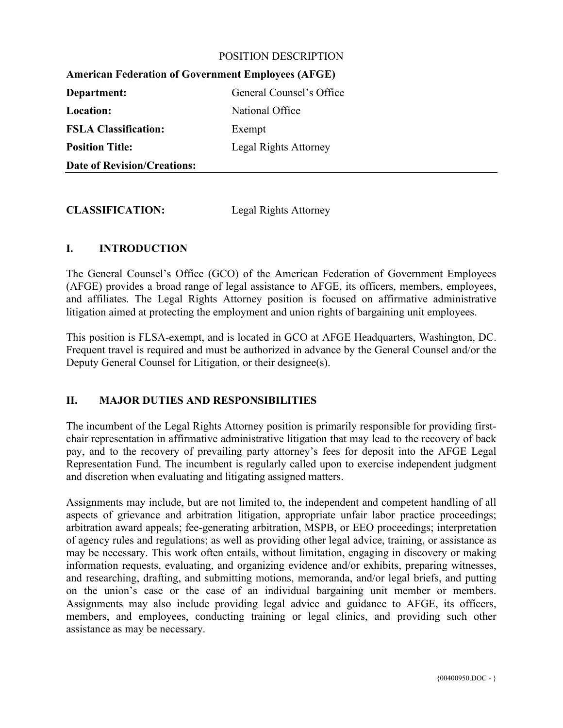#### POSITION DESCRIPTION

| THIRTICAL FUGGALOR OF GOVGERILUM EMIDIOVICS (TH GE) |                          |
|-----------------------------------------------------|--------------------------|
| Department:                                         | General Counsel's Office |
| Location:                                           | National Office          |
| <b>FSLA Classification:</b>                         | Exempt                   |
| <b>Position Title:</b>                              | Legal Rights Attorney    |
| <b>Date of Revision/Creations:</b>                  |                          |

**American Federation of Government Employees (AFGE)** 

**CLASSIFICATION:** Legal Rights Attorney

## **I. INTRODUCTION**

The General Counsel's Office (GCO) of the American Federation of Government Employees (AFGE) provides a broad range of legal assistance to AFGE, its officers, members, employees, and affiliates. The Legal Rights Attorney position is focused on affirmative administrative litigation aimed at protecting the employment and union rights of bargaining unit employees.

This position is FLSA-exempt, and is located in GCO at AFGE Headquarters, Washington, DC. Frequent travel is required and must be authorized in advance by the General Counsel and/or the Deputy General Counsel for Litigation, or their designee(s).

### **II. MAJOR DUTIES AND RESPONSIBILITIES**

The incumbent of the Legal Rights Attorney position is primarily responsible for providing firstchair representation in affirmative administrative litigation that may lead to the recovery of back pay, and to the recovery of prevailing party attorney's fees for deposit into the AFGE Legal Representation Fund. The incumbent is regularly called upon to exercise independent judgment and discretion when evaluating and litigating assigned matters.

Assignments may include, but are not limited to, the independent and competent handling of all aspects of grievance and arbitration litigation, appropriate unfair labor practice proceedings; arbitration award appeals; fee-generating arbitration, MSPB, or EEO proceedings; interpretation of agency rules and regulations; as well as providing other legal advice, training, or assistance as may be necessary. This work often entails, without limitation, engaging in discovery or making information requests, evaluating, and organizing evidence and/or exhibits, preparing witnesses, and researching, drafting, and submitting motions, memoranda, and/or legal briefs, and putting on the union's case or the case of an individual bargaining unit member or members. Assignments may also include providing legal advice and guidance to AFGE, its officers, members, and employees, conducting training or legal clinics, and providing such other assistance as may be necessary.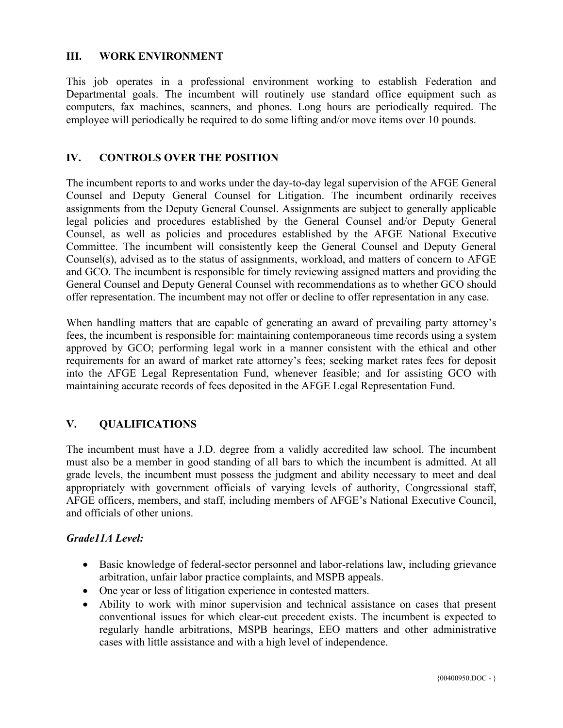### **III. WORK ENVIRONMENT**

This job operates in a professional environment working to establish Federation and Departmental goals. The incumbent will routinely use standard office equipment such as computers, fax machines, scanners, and phones. Long hours are periodically required. The employee will periodically be required to do some lifting and/or move items over 10 pounds.

#### **IV. CONTROLS OVER THE POSITION**

The incumbent reports to and works under the day-to-day legal supervision of the AFGE General Counsel and Deputy General Counsel for Litigation. The incumbent ordinarily receives assignments from the Deputy General Counsel. Assignments are subject to generally applicable legal policies and procedures established by the General Counsel and/or Deputy General Counsel, as well as policies and procedures established by the AFGE National Executive Committee. The incumbent will consistently keep the General Counsel and Deputy General Counsel(s), advised as to the status of assignments, workload, and matters of concern to AFGE and GCO. The incumbent is responsible for timely reviewing assigned matters and providing the General Counsel and Deputy General Counsel with recommendations as to whether GCO should offer representation. The incumbent may not offer or decline to offer representation in any case.

When handling matters that are capable of generating an award of prevailing party attorney's fees, the incumbent is responsible for: maintaining contemporaneous time records using a system approved by GCO; performing legal work in a manner consistent with the ethical and other requirements for an award of market rate attorney's fees; seeking market rates fees for deposit into the AFGE Legal Representation Fund, whenever feasible; and for assisting GCO with maintaining accurate records of fees deposited in the AFGE Legal Representation Fund.

### **V. QUALIFICATIONS**

The incumbent must have a J.D. degree from a validly accredited law school. The incumbent must also be a member in good standing of all bars to which the incumbent is admitted. At all grade levels, the incumbent must possess the judgment and ability necessary to meet and deal appropriately with government officials of varying levels of authority, Congressional staff, AFGE officers, members, and staff, including members of AFGE's National Executive Council, and officials of other unions.

#### *Grade11A Level:*

- Basic knowledge of federal-sector personnel and labor-relations law, including grievance arbitration, unfair labor practice complaints, and MSPB appeals.
- One year or less of litigation experience in contested matters.
- Ability to work with minor supervision and technical assistance on cases that present conventional issues for which clear-cut precedent exists. The incumbent is expected to regularly handle arbitrations, MSPB hearings, EEO matters and other administrative cases with little assistance and with a high level of independence.